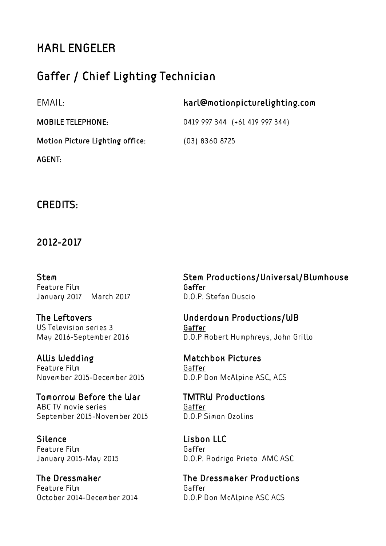# KARL ENGELER

## Gaffer / Chief Lighting Technician

| EMAIL:                          | harl@motionpicturelighting.com |
|---------------------------------|--------------------------------|
| <b>MOBILE TELEPHONE:</b>        | 0419 997 344 (+61 419 997 344) |
| Motion Picture Lighting office: | $(03)$ 8360 8725               |
| AGENT:                          |                                |

## CREDITS:

## 2012-2017

Feature Film Gaffer January 2017 March 2017 D.O.P. Stefan Duscio

US Television series 3 Gaffer

Allis Wedding Matchbox Pictures Feature Film Gaffer November 2015-December 2015 D.O.P Don McAlpine ASC, ACS

Tomorrow Before the War TMTRW Productions ABC TV movie series Gaffer September 2015-November 2015 D.O.P Simon Ozolins

Silence Lisbon LLC Feature Film Gaffer

Feature Film Gaffer October 2014-December 2014 D.O.P Don McAlpine ASC ACS

Stem Stem Productions/Universal/Blumhouse

The Leftovers Underdown Productions/WB May 2016-September 2016 D.O.P Robert Humphreys, John Grillo

January 2015-May 2015 D.O.P. Rodrigo Prieto AMC ASC

The Dressmaker The Dressmaker Productions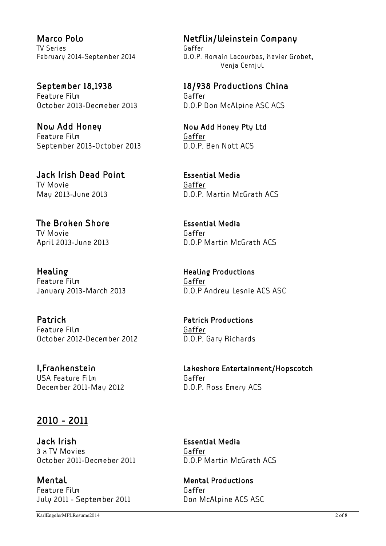TV Series Gaffer

Feature Film Gaffer

Now Add Honey Now Add Honey Pty Ltd Feature Film Gaffer September 2013-October 2013 D.O.P. Ben Nott ACS

Jack Irish Dead Point Essential Media TV Movie **Gaffer** 

The Broken Shore **Essential Media** TV Movie Gaffer

Healing **Healing Healing Productions** Feature Film Gaffer

Patrick **Patrick Productions** Feature Film Gaffer October 2012-December 2012 D.O.P. Gary Richards

USA Feature Film Gaffer December 2011-May 2012 D.O.P. Ross Emery ACS

## 2010 - 2011

Jack Irish Essential Media 3 x TV Movies Gaffer October 2011-Decmeber 2011 D.O.P Martin McGrath ACS

Mental Mental Productions Feature Film Gaffer July 2011 - September 2011 Don McAlpine ACS ASC

Marco Polo Netflix/Weinstein Company February 2014-September 2014 D.O.P. Romain Lacourbas, Xavier Grobet, Venja Cernjul

September 18,1938 18/938 Productions China October 2013-Decmeber 2013 D.O.P Don McAlpine ASC ACS

May 2013-June 2013 D.O.P. Martin McGrath ACS

April 2013-June 2013 **D.O.P Martin McGrath ACS** 

January 2013-March 2013 D.O.P Andrew Lesnie ACS ASC

I,Frankenstein Lakeshore Entertainment/Hopscotch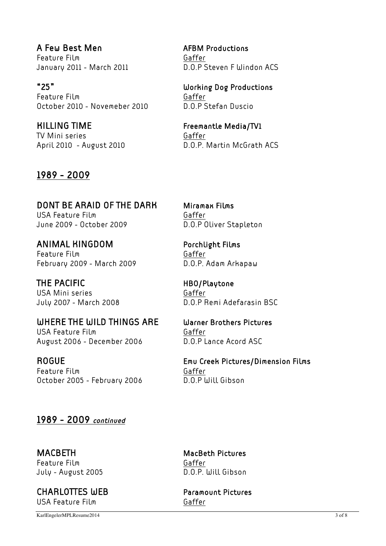A Few Best Men AFBM Productions Feature Film Gaffer

"25" Working Dog Productions Feature Film Gaffer October 2010 - Novemeber 2010 D.O.P Stefan Duscio

KILLING TIME Freemantle Media/TV1 TV Mini series Gaffer

## 1989 - 2009

DONT BE ARAID OF THE DARK Miramax Films USA Feature Film Gaffer June 2009 - October 2009 D.O.P Oliver Stapleton

ANIMAL KINGDOM Porchlight Films Feature Film Gaffer February 2009 - March 2009 D.O.P. Adam Arkapaw

THE PACIFIC **HBO/Playtone** USA Mini series Gaffer

## WHERE THE WILD THINGS ARE Warner Brothers Pictures

USA Feature Film Gaffer August 2006 - December 2006 D.O.P Lance Acord ASC

Feature Film Gaffer October 2005 - February 2006 D.O.P Will Gibson

January 2011 - March 2011 D.O.P Steven F Windon ACS

April 2010 - August 2010 D.O.P. Martin McGrath ACS

July 2007 - March 2008 D.O.P Remi Adefarasin BSC

ROGUE Emu Creek Pictures/Dimension Films

## 1989 - 2009 continued

MACBETH MacBeth Pictures Feature Film Gaffer July - August 2005 D.O.P. Will Gibson

CHARLOTTES WEB Paramount Pictures USA Feature Film Gaffer

KarlEngelerMPLResume2014 3 of 8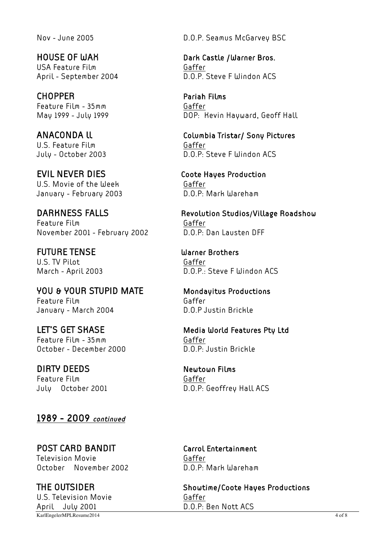USA Feature Film Gaffer

CHOPPER Pariah Films Feature Film - 35mm Gaffer

U.S. Feature Film Gaffer

EVIL NEVER DIES Coote Hayes Production U.S. Movie of the Week Gaffer January - February 2003 D.O.P: Mark Wareham

Feature Film Gaffer November 2001 - February 2002 D.O.P: Dan Lausten DFF

FUTURE TENSE Warner Brothers U.S. TV Pilot Gaffer

YOU & YOUR STUPID MATE Mondayitus Productions Feature Film Gaffer January - March 2004 D.O.P Justin Brickle

Feature Film - 35mm Gaffer October - December 2000 D.O.P: Justin Brickle

DIRTY DEEDS Newtown Films Feature Film Gaffer

1989 - 2009 continued

POST CARD BANDIT Carrol Entertainment Television Movie Caffer October November 2002 D.O.P: Mark Wareham

KarlEngelerMPLResume2014 4 of 8 U.S. Television Movie Contraction Gaffer April July 2001 D.O.P: Ben Nott ACS

Nov - June 2005 D.O.P. Seamus McGarvey BSC

HOUSE OF WAK Dark Castle /Warner Bros. April - September 2004 D.O.P. Steve F Windon ACS

May 1999 - July 1999 **DOP: Kevin Hayward, Geoff Hall** 

ANACONDA ll Columbia Tristar/ Sony Pictures July - October 2003 D.O.P: Steve F Windon ACS

DARKNESS FALLS Revolution Studios/Village Roadshow

March - April 2003 D.O.P.: Steve F Windon ACS

LET'S GET SKASE Media World Features Pty Ltd

July October 2001 D.O.P: Geoffrey Hall ACS

THE OUTSIDER Showtime/Coote Hayes Productions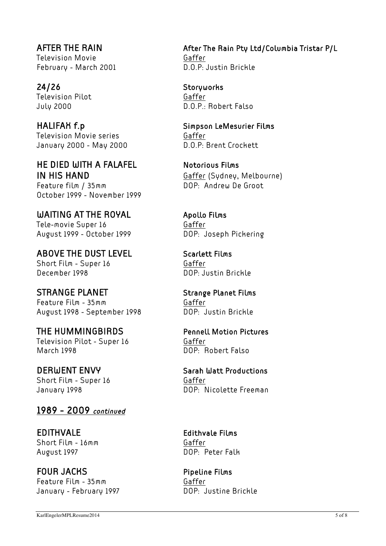Television Movie Contraction Caffer February - March 2001 D.O.P: Justin Brickle

24/26 Storyworks Television Pilot Gaffer

HALIFAH f.p Simpson LeMesurier Films Television Movie series Television Movie series January 2000 - May 2000 D.O.P: Brent Crockett

HE DIED WITH A FALAFEL Notorious Films IN HIS HAND Gaffer (Sydney, Melbourne)

Feature film / 35mm DOP: Andrew De Groot October 1999 - November 1999

WAITING AT THE ROYAL Apollo Films Tele-movie Super 16 Gaffer August 1999 - October 1999 DOP: Joseph Pickering

ABOVE THE DUST LEVEL Scarlett Films Short Film - Super 16 Gaffer December 1998 DOP: Justin Brickle

STRANGE PLANET Strange Planet Films Feature Film - 35mm Gaffer August 1998 - September 1998 DOP: Justin Brickle

THE HUMMINGBIRDS Pennell Motion Pictures Television Pilot - Super 16 Gaffer March 1998 DOP: Robert Falso

Short Film - Super 16 Gaffer

1989 - 2009 continued

EDITHVALE Edithvale Films Short Film - 16mm Gaffer August 1997 DOP: Peter Falk

FOUR JACKS **Pipeline Films** Feature Film - 35mm Gaffer January - February 1997 DOP: Justine Brickle

AFTER THE RAIN After The Rain Pty Ltd/Columbia Tristar P/L

July 2000 D.O.P.: Robert Falso

DERWENT ENVY Sarah Watt Productions January 1998 DOP: Nicolette Freeman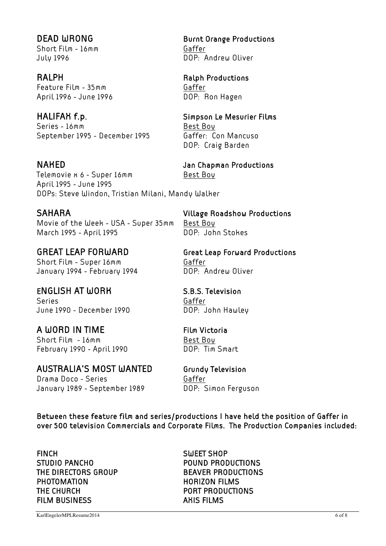Short Film - 16mm Gaffer July 1996 DOP: Andrew Oliver

Feature Film - 35mm Gaffer April 1996 - June 1996 DOP: Ron Hagen

Series - 16mm Best Boy September 1995 - December 1995 Gaffer: Con Mancuso

Telemovie x 6 - Super 16mm<br>Best Bou April 1995 - June 1995 DOPs: Steve Windon, Tristian Milani, Mandy Walker

SAHARA Village Roadshow Productions Movie of the Week - USA - Super 35mm Best Boy March 1995 - April 1995 **DOP:** John Stokes

Short Film - Super 16mm<br>
Gaffer January 1994 - February 1994 DOP: Andrew Oliver

## ENGLISH AT WORK S.B.S. Television

Series Gaffer June 1990 - December 1990 DOP: John Hawley

A WORD IN TIME Film Victoria Short Film - 16mm Best Boy

AUSTRALIA'S MOST WANTED Grundy Television

Drama Doco - Series Gaffer January 1989 - September 1989 DOP: Simon Ferguson

DEAD WRONG Burnt Orange Productions

# RALPH RALPH Ralph Productions

## HALIFAX f.p. Simpson Le Mesurier Films

DOP: Craig Barden

NAKED Jan Chapman Productions

GREAT LEAP FORWARD Great Leap Forward Productions

February 1990 - April 1990 DOP: Tim Smart

Between these feature film and series/productions I have held the position of Gaffer in over 500 television Commercials and Corporate Films. The Production Companies included:

FINCH SWEET SHOP STUDIO PANCHO POUND PRODUCTIONS THE DIRECTORS GROUP BEAVER PRODUCTIONS PHOTOMATION **HORIZON FILMS** THE CHURCH **PORT PRODUCTIONS** FILM BUSINESS AHIS FILMS

KarlEngelerMPLResume2014 6 of 8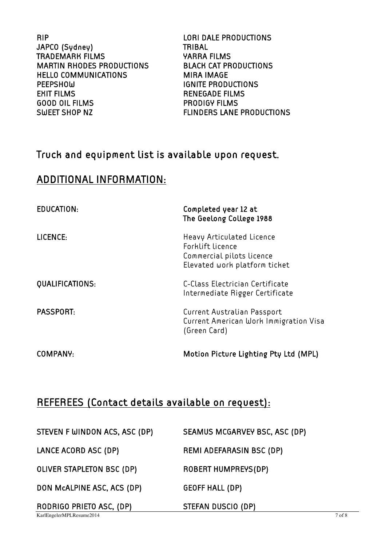RIP LORI DALE PRODUCTIONS JAPCO (Sydney) TRIBAL TRADEMARK FILMS YARRA FILMS MARTIN RHODES PRODUCTIONS BLACK CAT PRODUCTIONS HELLO COMMUNICATIONS MIRA IMAGE PEEPSHOW **IGNITE PRODUCTIONS** EXIT FILMS **RENEGADE FILMS** GOOD OIL FILMS PRODIGY FILMS SWEET SHOP NZ FLINDERS LANE PRODUCTIONS

## Truck and equipment list is available upon request.

## ADDITIONAL INFORMATION:

| EDUCATION:       | Completed year 12 at<br>The Geelong College 1988                                                            |
|------------------|-------------------------------------------------------------------------------------------------------------|
| LICENCE:         | Heavy Articulated Licence<br>Forklift licence<br>Commercial pilots licence<br>Elevated work platform ticket |
| QUALIFICATIONS:  | C-Class Electrician Certificate<br>Intermediate Rigger Certificate                                          |
| <b>PASSPORT:</b> | Current Australian Passport<br>Current American Work Immigration Visa<br>(Green Card)                       |
| COMPANY:         | Motion Picture Lighting Pty Ltd (MPL)                                                                       |

## REFEREES (Contact details available on request):

| STEVEN F WINDON ACS, ASC (DP) | SEAMUS MCGARVEY BSC, ASC (DP)   |        |
|-------------------------------|---------------------------------|--------|
| LANCE ACORD ASC (DP)          | <b>REMI ADEFARASIN BSC (DP)</b> |        |
| OLIVER STAPLETON BSC (DP)     | <b>ROBERT HUMPREYS(DP)</b>      |        |
| DON MCALPINE ASC, ACS (DP)    | <b>GEOFF HALL (DP)</b>          |        |
| RODRIGO PRIETO ASC, (DP)      | STEFAN DUSCIO (DP)              |        |
| KarlEngelerMPLResume2014      |                                 | 7 of 8 |